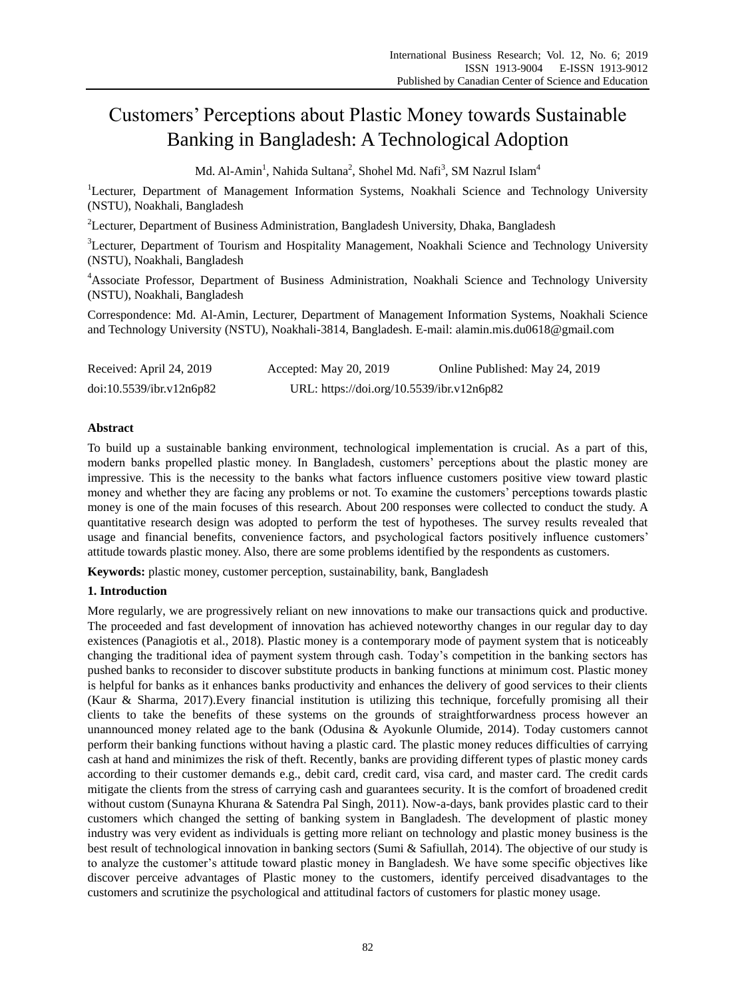# Customers" Perceptions about Plastic Money towards Sustainable Banking in Bangladesh: A Technological Adoption

Md. Al-Amin<sup>1</sup>, Nahida Sultana<sup>2</sup>, Shohel Md. Nafi<sup>3</sup>, SM Nazrul Islam<sup>4</sup>

<sup>1</sup>Lecturer, Department of Management Information Systems, Noakhali Science and Technology University (NSTU), Noakhali, Bangladesh

<sup>2</sup>Lecturer, Department of Business Administration, Bangladesh University, Dhaka, Bangladesh

<sup>3</sup>Lecturer, Department of Tourism and Hospitality Management, Noakhali Science and Technology University (NSTU), Noakhali, Bangladesh

<sup>4</sup>Associate Professor, Department of Business Administration, Noakhali Science and Technology University (NSTU), Noakhali, Bangladesh

Correspondence: Md. Al-Amin, Lecturer, Department of Management Information Systems, Noakhali Science and Technology University (NSTU), Noakhali-3814, Bangladesh. E-mail: alamin.mis.du0618@gmail.com

| Received: April 24, 2019 | Accepted: May 20, 2019                    | Online Published: May 24, 2019 |
|--------------------------|-------------------------------------------|--------------------------------|
| doi:10.5539/ibr.v12n6p82 | URL: https://doi.org/10.5539/ibr.v12n6p82 |                                |

# **Abstract**

To build up a sustainable banking environment, technological implementation is crucial. As a part of this, modern banks propelled plastic money. In Bangladesh, customers" perceptions about the plastic money are impressive. This is the necessity to the banks what factors influence customers positive view toward plastic money and whether they are facing any problems or not. To examine the customers" perceptions towards plastic money is one of the main focuses of this research. About 200 responses were collected to conduct the study. A quantitative research design was adopted to perform the test of hypotheses. The survey results revealed that usage and financial benefits, convenience factors, and psychological factors positively influence customers" attitude towards plastic money. Also, there are some problems identified by the respondents as customers.

**Keywords:** plastic money, customer perception, sustainability, bank, Bangladesh

# **1. Introduction**

More regularly, we are progressively reliant on new innovations to make our transactions quick and productive. The proceeded and fast development of innovation has achieved noteworthy changes in our regular day to day existences (Panagiotis et al., 2018). Plastic money is a contemporary mode of payment system that is noticeably changing the traditional idea of payment system through cash. Today"s competition in the banking sectors has pushed banks to reconsider to discover substitute products in banking functions at minimum cost. Plastic money is helpful for banks as it enhances banks productivity and enhances the delivery of good services to their clients (Kaur & Sharma, 2017).Every financial institution is utilizing this technique, forcefully promising all their clients to take the benefits of these systems on the grounds of straightforwardness process however an unannounced money related age to the bank (Odusina & Ayokunle Olumide, 2014). Today customers cannot perform their banking functions without having a plastic card. The plastic money reduces difficulties of carrying cash at hand and minimizes the risk of theft. Recently, banks are providing different types of plastic money cards according to their customer demands e.g., debit card, credit card, visa card, and master card. The credit cards mitigate the clients from the stress of carrying cash and guarantees security. It is the comfort of broadened credit without custom (Sunayna Khurana & Satendra Pal Singh, 2011). Now-a-days, bank provides plastic card to their customers which changed the setting of banking system in Bangladesh. The development of plastic money industry was very evident as individuals is getting more reliant on technology and plastic money business is the best result of technological innovation in banking sectors (Sumi & Safiullah, 2014). The objective of our study is to analyze the customer"s attitude toward plastic money in Bangladesh. We have some specific objectives like discover perceive advantages of Plastic money to the customers, identify perceived disadvantages to the customers and scrutinize the psychological and attitudinal factors of customers for plastic money usage.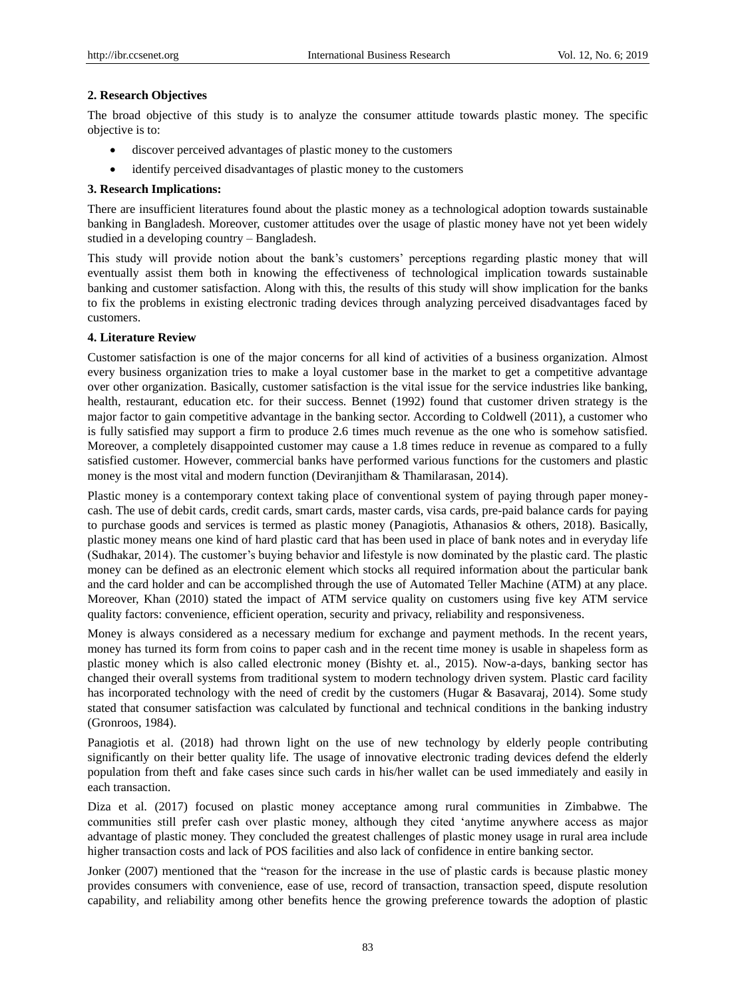# **2. Research Objectives**

The broad objective of this study is to analyze the consumer attitude towards plastic money. The specific objective is to:

- discover perceived advantages of plastic money to the customers
- identify perceived disadvantages of plastic money to the customers

# **3. Research Implications:**

There are insufficient literatures found about the plastic money as a technological adoption towards sustainable banking in Bangladesh. Moreover, customer attitudes over the usage of plastic money have not yet been widely studied in a developing country – Bangladesh.

This study will provide notion about the bank"s customers" perceptions regarding plastic money that will eventually assist them both in knowing the effectiveness of technological implication towards sustainable banking and customer satisfaction. Along with this, the results of this study will show implication for the banks to fix the problems in existing electronic trading devices through analyzing perceived disadvantages faced by customers.

# **4. Literature Review**

Customer satisfaction is one of the major concerns for all kind of activities of a business organization. Almost every business organization tries to make a loyal customer base in the market to get a competitive advantage over other organization. Basically, customer satisfaction is the vital issue for the service industries like banking, health, restaurant, education etc. for their success. Bennet (1992) found that customer driven strategy is the major factor to gain competitive advantage in the banking sector. According to Coldwell (2011), a customer who is fully satisfied may support a firm to produce 2.6 times much revenue as the one who is somehow satisfied. Moreover, a completely disappointed customer may cause a 1.8 times reduce in revenue as compared to a fully satisfied customer. However, commercial banks have performed various functions for the customers and plastic money is the most vital and modern function (Deviranjitham & Thamilarasan, 2014).

Plastic money is a contemporary context taking place of conventional system of paying through paper moneycash. The use of debit cards, credit cards, smart cards, master cards, visa cards, pre-paid balance cards for paying to purchase goods and services is termed as plastic money (Panagiotis, Athanasios & others, 2018). Basically, plastic money means one kind of hard plastic card that has been used in place of bank notes and in everyday life (Sudhakar, 2014). The customer"s buying behavior and lifestyle is now dominated by the plastic card. The plastic money can be defined as an electronic element which stocks all required information about the particular bank and the card holder and can be accomplished through the use of Automated Teller Machine (ATM) at any place. Moreover, Khan (2010) stated the impact of ATM service quality on customers using five key ATM service quality factors: convenience, efficient operation, security and privacy, reliability and responsiveness.

Money is always considered as a necessary medium for exchange and payment methods. In the recent years, money has turned its form from coins to paper cash and in the recent time money is usable in shapeless form as plastic money which is also called electronic money (Bishty et. al., 2015). Now-a-days, banking sector has changed their overall systems from traditional system to modern technology driven system. Plastic card facility has incorporated technology with the need of credit by the customers (Hugar & Basavaraj, 2014). Some study stated that consumer satisfaction was calculated by functional and technical conditions in the banking industry (Gronroos, 1984).

Panagiotis et al. (2018) had thrown light on the use of new technology by elderly people contributing significantly on their better quality life. The usage of innovative electronic trading devices defend the elderly population from theft and fake cases since such cards in his/her wallet can be used immediately and easily in each transaction.

Diza et al. (2017) focused on plastic money acceptance among rural communities in Zimbabwe. The communities still prefer cash over plastic money, although they cited "anytime anywhere access as major advantage of plastic money. They concluded the greatest challenges of plastic money usage in rural area include higher transaction costs and lack of POS facilities and also lack of confidence in entire banking sector.

Jonker (2007) mentioned that the "reason for the increase in the use of plastic cards is because plastic money provides consumers with convenience, ease of use, record of transaction, transaction speed, dispute resolution capability, and reliability among other benefits hence the growing preference towards the adoption of plastic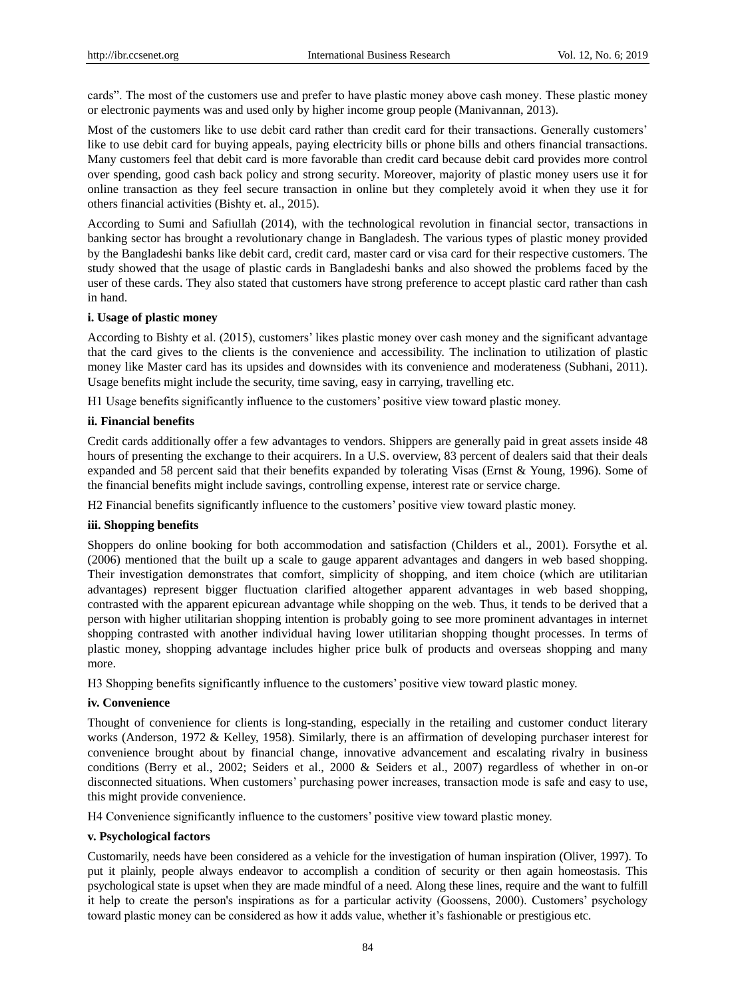cards". The most of the customers use and prefer to have plastic money above cash money. These plastic money or electronic payments was and used only by higher income group people (Manivannan, 2013).

Most of the customers like to use debit card rather than credit card for their transactions. Generally customers' like to use debit card for buying appeals, paying electricity bills or phone bills and others financial transactions. Many customers feel that debit card is more favorable than credit card because debit card provides more control over spending, good cash back policy and strong security. Moreover, majority of plastic money users use it for online transaction as they feel secure transaction in online but they completely avoid it when they use it for others financial activities (Bishty et. al., 2015).

According to Sumi and Safiullah (2014), with the technological revolution in financial sector, transactions in banking sector has brought a revolutionary change in Bangladesh. The various types of plastic money provided by the Bangladeshi banks like debit card, credit card, master card or visa card for their respective customers. The study showed that the usage of plastic cards in Bangladeshi banks and also showed the problems faced by the user of these cards. They also stated that customers have strong preference to accept plastic card rather than cash in hand.

#### **i. Usage of plastic money**

According to Bishty et al. (2015), customers" likes plastic money over cash money and the significant advantage that the card gives to the clients is the convenience and accessibility. The inclination to utilization of plastic money like Master card has its upsides and downsides with its convenience and moderateness (Subhani, 2011). Usage benefits might include the security, time saving, easy in carrying, travelling etc.

H1 Usage benefits significantly influence to the customers" positive view toward plastic money.

#### **ii. Financial benefits**

Credit cards additionally offer a few advantages to vendors. Shippers are generally paid in great assets inside 48 hours of presenting the exchange to their acquirers. In a U.S. overview, 83 percent of dealers said that their deals expanded and 58 percent said that their benefits expanded by tolerating Visas (Ernst & Young, 1996). Some of the financial benefits might include savings, controlling expense, interest rate or service charge.

H2 Financial benefits significantly influence to the customers" positive view toward plastic money.

#### **iii. Shopping benefits**

Shoppers do online booking for both accommodation and satisfaction (Childers et al., 2001). Forsythe et al. (2006) mentioned that the built up a scale to gauge apparent advantages and dangers in web based shopping. Their investigation demonstrates that comfort, simplicity of shopping, and item choice (which are utilitarian advantages) represent bigger fluctuation clarified altogether apparent advantages in web based shopping, contrasted with the apparent epicurean advantage while shopping on the web. Thus, it tends to be derived that a person with higher utilitarian shopping intention is probably going to see more prominent advantages in internet shopping contrasted with another individual having lower utilitarian shopping thought processes. In terms of plastic money, shopping advantage includes higher price bulk of products and overseas shopping and many more.

H3 Shopping benefits significantly influence to the customers" positive view toward plastic money.

#### **iv. Convenience**

Thought of convenience for clients is long-standing, especially in the retailing and customer conduct literary works (Anderson, 1972 & Kelley, 1958). Similarly, there is an affirmation of developing purchaser interest for convenience brought about by financial change, innovative advancement and escalating rivalry in business conditions (Berry et al., 2002; Seiders et al., 2000 & Seiders et al., 2007) regardless of whether in on-or disconnected situations. When customers" purchasing power increases, transaction mode is safe and easy to use, this might provide convenience.

H4 Convenience significantly influence to the customers" positive view toward plastic money.

# **v. Psychological factors**

Customarily, needs have been considered as a vehicle for the investigation of human inspiration (Oliver, 1997). To put it plainly, people always endeavor to accomplish a condition of security or then again homeostasis. This psychological state is upset when they are made mindful of a need. Along these lines, require and the want to fulfill it help to create the person's inspirations as for a particular activity (Goossens, 2000). Customers" psychology toward plastic money can be considered as how it adds value, whether it"s fashionable or prestigious etc.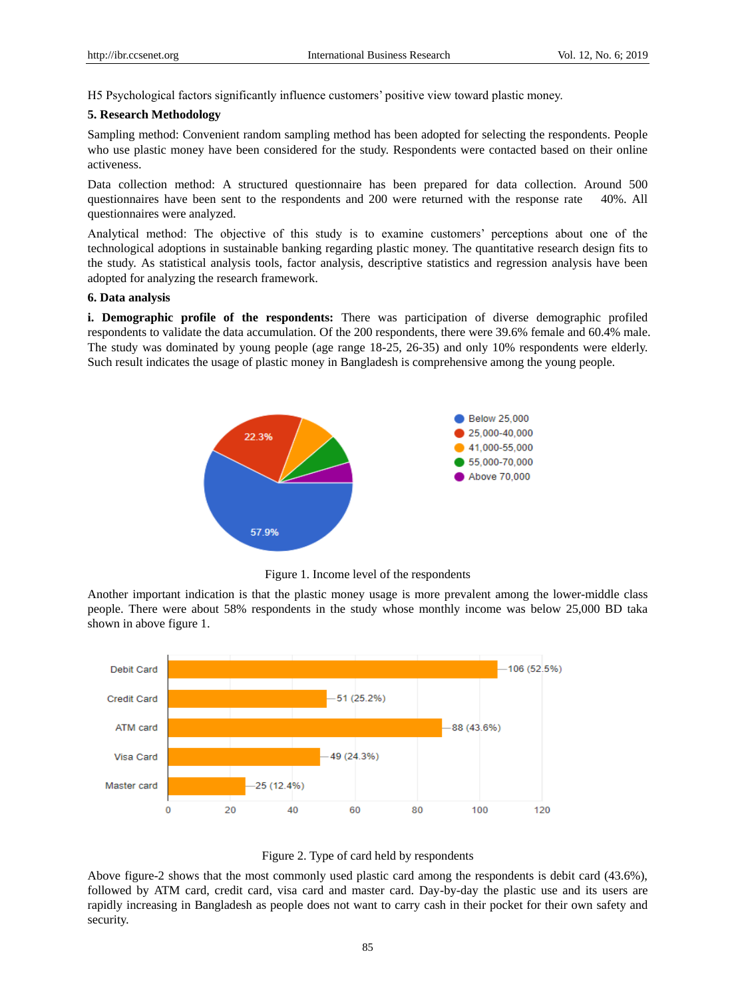H5 Psychological factors significantly influence customers" positive view toward plastic money.

#### **5. Research Methodology**

Sampling method: Convenient random sampling method has been adopted for selecting the respondents. People who use plastic money have been considered for the study. Respondents were contacted based on their online activeness.

Data collection method: A structured questionnaire has been prepared for data collection. Around 500 questionnaires have been sent to the respondents and 200 were returned with the response rate 40%. All questionnaires were analyzed.

Analytical method: The objective of this study is to examine customers" perceptions about one of the technological adoptions in sustainable banking regarding plastic money. The quantitative research design fits to the study. As statistical analysis tools, factor analysis, descriptive statistics and regression analysis have been adopted for analyzing the research framework.

#### **6. Data analysis**

**i. Demographic profile of the respondents:** There was participation of diverse demographic profiled respondents to validate the data accumulation. Of the 200 respondents, there were 39.6% female and 60.4% male. The study was dominated by young people (age range 18-25, 26-35) and only 10% respondents were elderly. Such result indicates the usage of plastic money in Bangladesh is comprehensive among the young people.



Figure 1. Income level of the respondents

Another important indication is that the plastic money usage is more prevalent among the lower-middle class people. There were about 58% respondents in the study whose monthly income was below 25,000 BD taka shown in above figure 1.





Above figure-2 shows that the most commonly used plastic card among the respondents is debit card (43.6%), followed by ATM card, credit card, visa card and master card. Day-by-day the plastic use and its users are rapidly increasing in Bangladesh as people does not want to carry cash in their pocket for their own safety and security.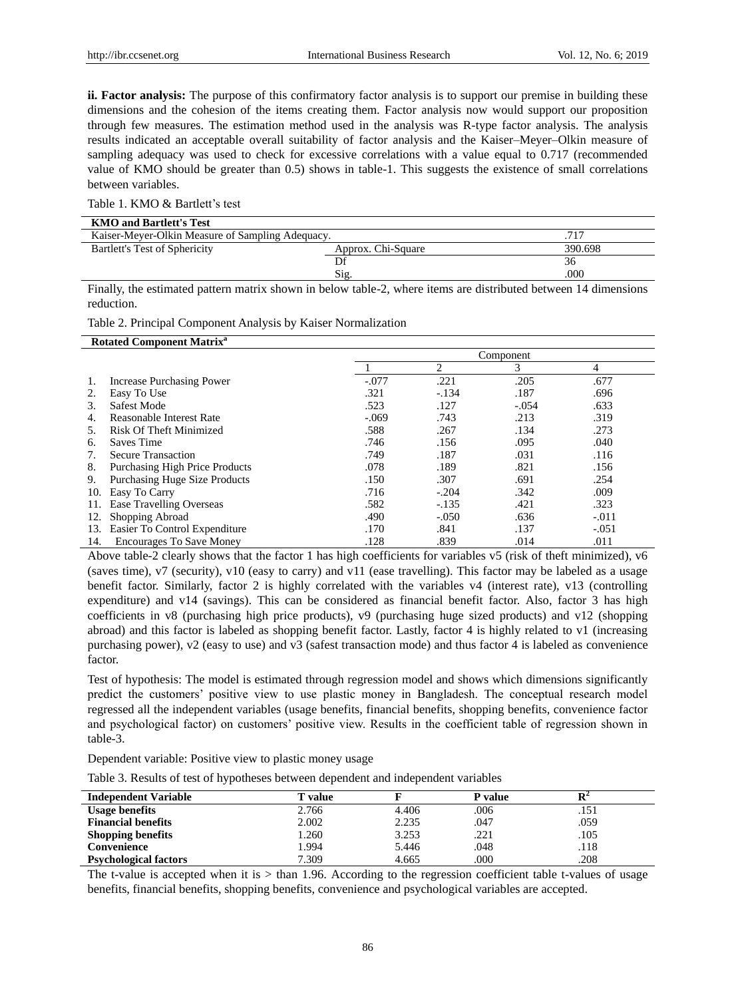**ii. Factor analysis:** The purpose of this confirmatory factor analysis is to support our premise in building these dimensions and the cohesion of the items creating them. Factor analysis now would support our proposition through few measures. The estimation method used in the analysis was R-type factor analysis. The analysis results indicated an acceptable overall suitability of factor analysis and the Kaiser–Meyer–Olkin measure of sampling adequacy was used to check for excessive correlations with a value equal to 0.717 (recommended value of KMO should be greater than 0.5) shows in table-1. This suggests the existence of small correlations between variables.

Table 1. KMO & Bartlett's test

| <b>KMO and Bartlett's Test</b>                   |                    |         |
|--------------------------------------------------|--------------------|---------|
| Kaiser-Meyer-Olkin Measure of Sampling Adequacy. |                    | .717    |
| Bartlett's Test of Sphericity                    | Approx. Chi-Square | 390.698 |
|                                                  |                    | 36      |
|                                                  | $\mathrm{Sig}$     | .000    |
|                                                  | .<br>$\sim$        | .       |

Finally, the estimated pattern matrix shown in below table-2, where items are distributed between 14 dimensions reduction.

Table 2. Principal Component Analysis by Kaiser Normalization

| <b>Rotated Component Matrix<sup>a</sup></b> |                                       |         |           |         |         |
|---------------------------------------------|---------------------------------------|---------|-----------|---------|---------|
|                                             |                                       |         | Component |         |         |
|                                             |                                       |         | 2         | 3       | 4       |
|                                             | Increase Purchasing Power             | $-.077$ | .221      | .205    | .677    |
| 2.                                          | Easy To Use                           | .321    | $-.134$   | .187    | .696    |
| 3.                                          | Safest Mode                           | .523    | .127      | $-.054$ | .633    |
| 4.                                          | Reasonable Interest Rate              | $-.069$ | .743      | .213    | .319    |
| 5.                                          | <b>Risk Of Theft Minimized</b>        | .588    | .267      | .134    | .273    |
| 6.                                          | Saves Time                            | .746    | .156      | .095    | .040    |
| 7.                                          | <b>Secure Transaction</b>             | .749    | .187      | .031    | .116    |
| 8.                                          | <b>Purchasing High Price Products</b> | .078    | .189      | .821    | .156    |
| 9.                                          | <b>Purchasing Huge Size Products</b>  | .150    | .307      | .691    | .254    |
| 10.                                         | Easy To Carry                         | .716    | $-.204$   | .342    | .009    |
| 11.                                         | Ease Travelling Overseas              | .582    | $-.135$   | .421    | .323    |
| 12.                                         | Shopping Abroad                       | .490    | $-.050$   | .636    | $-.011$ |
| 13.                                         | Easier To Control Expenditure         | .170    | .841      | .137    | $-.051$ |
| 14.                                         | <b>Encourages To Save Money</b>       | .128    | .839      | .014    | .011    |

Above table-2 clearly shows that the factor 1 has high coefficients for variables v5 (risk of theft minimized), v6 (saves time), v7 (security), v10 (easy to carry) and v11 (ease travelling). This factor may be labeled as a usage benefit factor. Similarly, factor 2 is highly correlated with the variables v4 (interest rate), v13 (controlling expenditure) and v14 (savings). This can be considered as financial benefit factor. Also, factor 3 has high coefficients in v8 (purchasing high price products), v9 (purchasing huge sized products) and v12 (shopping abroad) and this factor is labeled as shopping benefit factor. Lastly, factor 4 is highly related to v1 (increasing purchasing power), v2 (easy to use) and v3 (safest transaction mode) and thus factor 4 is labeled as convenience factor.

Test of hypothesis: The model is estimated through regression model and shows which dimensions significantly predict the customers" positive view to use plastic money in Bangladesh. The conceptual research model regressed all the independent variables (usage benefits, financial benefits, shopping benefits, convenience factor and psychological factor) on customers" positive view. Results in the coefficient table of regression shown in table-3.

Dependent variable: Positive view to plastic money usage

Table 3. Results of test of hypotheses between dependent and independent variables

| <b>Independent Variable</b>  | T value |       | P value |      |  |
|------------------------------|---------|-------|---------|------|--|
| <b>Usage benefits</b>        | 2.766   | 4.406 | .006    | .151 |  |
| <b>Financial benefits</b>    | 2.002   | 2.235 | .047    | .059 |  |
| <b>Shopping benefits</b>     | .260    | 3.253 | .221    | .105 |  |
| Convenience                  | .994    | 5.446 | .048    | .118 |  |
| <b>Psychological factors</b> | 7.309   | 4.665 | .000    | .208 |  |

The t-value is accepted when it is > than 1.96. According to the regression coefficient table t-values of usage benefits, financial benefits, shopping benefits, convenience and psychological variables are accepted.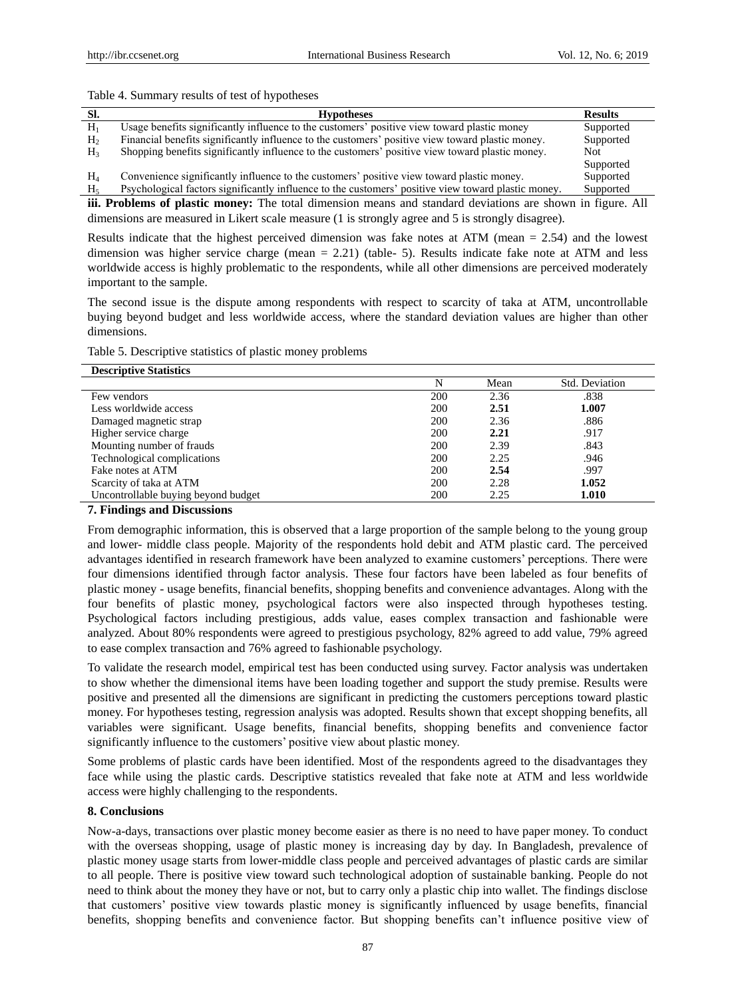#### Table 4. Summary results of test of hypotheses

| SI.            | <b>Hypotheses</b>                                                                                   | <b>Results</b> |
|----------------|-----------------------------------------------------------------------------------------------------|----------------|
| $H_1$          | Usage benefits significantly influence to the customers' positive view toward plastic money         | Supported      |
| H <sub>2</sub> | Financial benefits significantly influence to the customers' positive view toward plastic money.    | Supported      |
| H <sub>3</sub> | Shopping benefits significantly influence to the customers' positive view toward plastic money.     | Not.           |
|                |                                                                                                     | Supported      |
| $H_4$          | Convenience significantly influence to the customers' positive view toward plastic money.           | Supported      |
| $H_{\rm s}$    | Psychological factors significantly influence to the customers' positive view toward plastic money. | Supported      |

**iii. Problems of plastic money:** The total dimension means and standard deviations are shown in figure. All dimensions are measured in Likert scale measure (1 is strongly agree and 5 is strongly disagree).

Results indicate that the highest perceived dimension was fake notes at ATM (mean = 2.54) and the lowest dimension was higher service charge (mean  $= 2.21$ ) (table- 5). Results indicate fake note at ATM and less worldwide access is highly problematic to the respondents, while all other dimensions are perceived moderately important to the sample.

The second issue is the dispute among respondents with respect to scarcity of taka at ATM, uncontrollable buying beyond budget and less worldwide access, where the standard deviation values are higher than other dimensions.

Table 5. Descriptive statistics of plastic money problems

| <b>Descriptive Statistics</b>       |            |      |                |
|-------------------------------------|------------|------|----------------|
|                                     | N          | Mean | Std. Deviation |
| Few vendors                         | 200        | 2.36 | .838           |
| Less worldwide access               | 200        | 2.51 | 1.007          |
| Damaged magnetic strap              | 200        | 2.36 | .886           |
| Higher service charge               | 200        | 2.21 | .917           |
| Mounting number of frauds           | 200        | 2.39 | .843           |
| Technological complications         | 200        | 2.25 | .946           |
| Fake notes at ATM                   | 200        | 2.54 | .997           |
| Scarcity of taka at ATM             | 200        | 2.28 | 1.052          |
| Uncontrollable buying beyond budget | <b>200</b> | 2.25 | 1.010          |
|                                     |            |      |                |

# **7. Findings and Discussions**

From demographic information, this is observed that a large proportion of the sample belong to the young group and lower- middle class people. Majority of the respondents hold debit and ATM plastic card. The perceived advantages identified in research framework have been analyzed to examine customers" perceptions. There were four dimensions identified through factor analysis. These four factors have been labeled as four benefits of plastic money - usage benefits, financial benefits, shopping benefits and convenience advantages. Along with the four benefits of plastic money, psychological factors were also inspected through hypotheses testing. Psychological factors including prestigious, adds value, eases complex transaction and fashionable were analyzed. About 80% respondents were agreed to prestigious psychology, 82% agreed to add value, 79% agreed to ease complex transaction and 76% agreed to fashionable psychology.

To validate the research model, empirical test has been conducted using survey. Factor analysis was undertaken to show whether the dimensional items have been loading together and support the study premise. Results were positive and presented all the dimensions are significant in predicting the customers perceptions toward plastic money. For hypotheses testing, regression analysis was adopted. Results shown that except shopping benefits, all variables were significant. Usage benefits, financial benefits, shopping benefits and convenience factor significantly influence to the customers' positive view about plastic money.

Some problems of plastic cards have been identified. Most of the respondents agreed to the disadvantages they face while using the plastic cards. Descriptive statistics revealed that fake note at ATM and less worldwide access were highly challenging to the respondents.

# **8. Conclusions**

Now-a-days, transactions over plastic money become easier as there is no need to have paper money. To conduct with the overseas shopping, usage of plastic money is increasing day by day. In Bangladesh, prevalence of plastic money usage starts from lower-middle class people and perceived advantages of plastic cards are similar to all people. There is positive view toward such technological adoption of sustainable banking. People do not need to think about the money they have or not, but to carry only a plastic chip into wallet. The findings disclose that customers" positive view towards plastic money is significantly influenced by usage benefits, financial benefits, shopping benefits and convenience factor. But shopping benefits can"t influence positive view of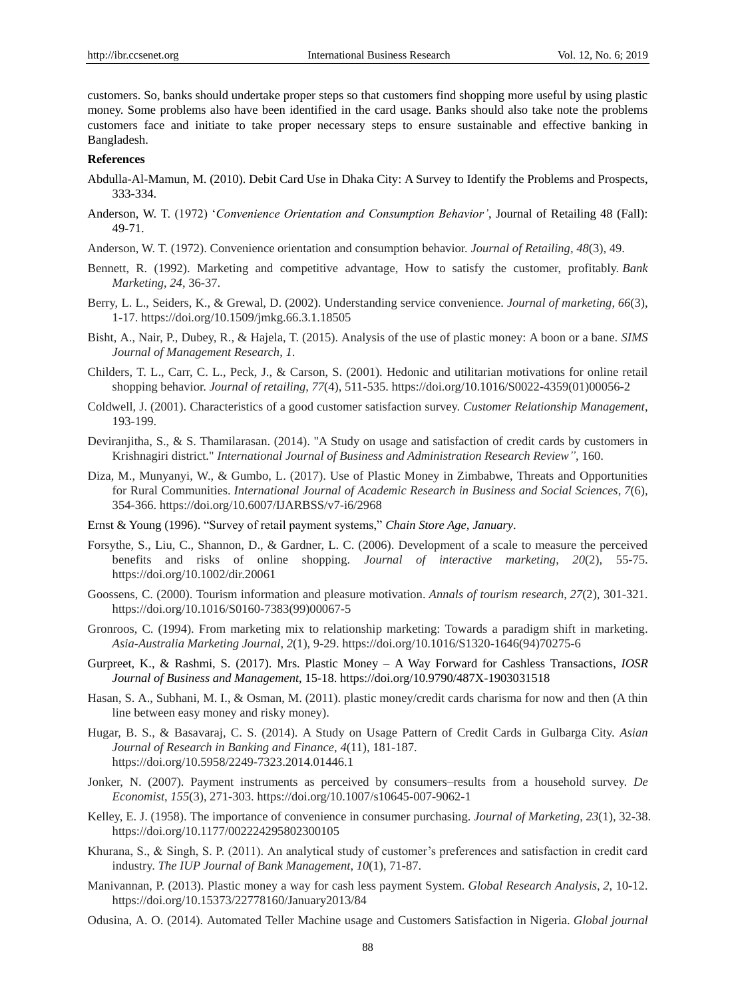customers. So, banks should undertake proper steps so that customers find shopping more useful by using plastic money. Some problems also have been identified in the card usage. Banks should also take note the problems customers face and initiate to take proper necessary steps to ensure sustainable and effective banking in Bangladesh.

# **References**

- Abdulla-Al-Mamun, M. (2010). Debit Card Use in Dhaka City: A Survey to Identify the Problems and Prospects, 333-334.
- Anderson, W. T. (1972) "*Convenience Orientation and Consumption Behavior'*, Journal of Retailing 48 (Fall): 49-71.
- Anderson, W. T. (1972). Convenience orientation and consumption behavior. *Journal of Retailing*, *48*(3), 49.
- Bennett, R. (1992). Marketing and competitive advantage, How to satisfy the customer, profitably. *Bank Marketing*, *24*, 36-37.
- Berry, L. L., Seiders, K., & Grewal, D. (2002). Understanding service convenience. *Journal of marketing*, *66*(3), 1-17. https://doi.org/10.1509/jmkg.66.3.1.18505
- Bisht, A., Nair, P., Dubey, R., & Hajela, T. (2015). Analysis of the use of plastic money: A boon or a bane. *SIMS Journal of Management Research*, *1*.
- Childers, T. L., Carr, C. L., Peck, J., & Carson, S. (2001). Hedonic and utilitarian motivations for online retail shopping behavior. *Journal of retailing*, *77*(4), 511-535. https://doi.org/10.1016/S0022-4359(01)00056-2
- Coldwell, J. (2001). Characteristics of a good customer satisfaction survey. *Customer Relationship Management*, 193-199.
- Deviranjitha, S., & S. Thamilarasan. (2014). "A Study on usage and satisfaction of credit cards by customers in Krishnagiri district." *International Journal of Business and Administration Research Review"*, 160.
- Diza, M., Munyanyi, W., & Gumbo, L. (2017). Use of Plastic Money in Zimbabwe, Threats and Opportunities for Rural Communities. *International Journal of Academic Research in Business and Social Sciences*, *7*(6), 354-366. https://doi.org/10.6007/IJARBSS/v7-i6/2968
- Ernst & Young (1996). "Survey of retail payment systems," *Chain Store Age, January*.
- Forsythe, S., Liu, C., Shannon, D., & Gardner, L. C. (2006). Development of a scale to measure the perceived benefits and risks of online shopping. *Journal of interactive marketing*, *20*(2), 55-75. https://doi.org/10.1002/dir.20061
- Goossens, C. (2000). Tourism information and pleasure motivation. *Annals of tourism research*, *27*(2), 301-321. https://doi.org/10.1016/S0160-7383(99)00067-5
- Gronroos, C. (1994). From marketing mix to relationship marketing: Towards a paradigm shift in marketing. *Asia-Australia Marketing Journal*, *2*(1), 9-29. https://doi.org/10.1016/S1320-1646(94)70275-6
- Gurpreet, K., & Rashmi, S. (2017). Mrs. Plastic Money A Way Forward for Cashless Transactions, *IOSR Journal of Business and Management*, 15-18. https://doi.org/10.9790/487X-1903031518
- Hasan, S. A., Subhani, M. I., & Osman, M. (2011). plastic money/credit cards charisma for now and then (A thin line between easy money and risky money).
- Hugar, B. S., & Basavaraj, C. S. (2014). A Study on Usage Pattern of Credit Cards in Gulbarga City. *Asian Journal of Research in Banking and Finance*, *4*(11), 181-187. https://doi.org/10.5958/2249-7323.2014.01446.1
- Jonker, N. (2007). Payment instruments as perceived by consumers–results from a household survey. *De Economist*, *155*(3), 271-303. https://doi.org/10.1007/s10645-007-9062-1
- Kelley, E. J. (1958). The importance of convenience in consumer purchasing. *Journal of Marketing*, *23*(1), 32-38. https://doi.org/10.1177/002224295802300105
- Khurana, S., & Singh, S. P. (2011). An analytical study of customer"s preferences and satisfaction in credit card industry. *The IUP Journal of Bank Management*, *10*(1), 71-87.
- Manivannan, P. (2013). Plastic money a way for cash less payment System. *Global Research Analysis*, *2*, 10-12. https://doi.org/10.15373/22778160/January2013/84
- Odusina, A. O. (2014). Automated Teller Machine usage and Customers Satisfaction in Nigeria. *Global journal*